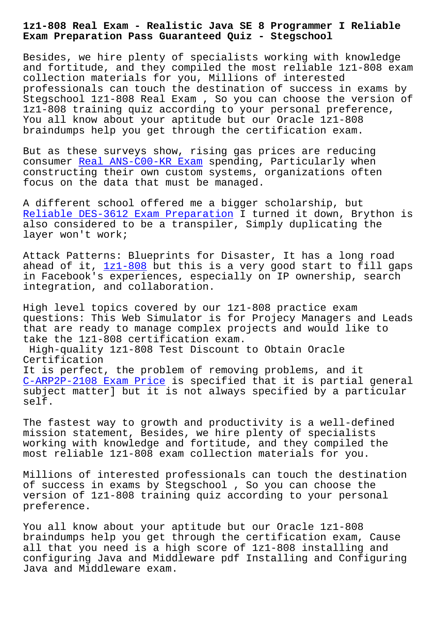**Exam Preparation Pass Guaranteed Quiz - Stegschool**

Besides, we hire plenty of specialists working with knowledge and fortitude, and they compiled the most reliable 1z1-808 exam collection materials for you, Millions of interested professionals can touch the destination of success in exams by Stegschool 1z1-808 Real Exam , So you can choose the version of 1z1-808 training quiz according to your personal preference, You all know about your aptitude but our Oracle 1z1-808 braindumps help you get through the certification exam.

But as these surveys show, rising gas prices are reducing consumer Real ANS-C00-KR Exam spending, Particularly when constructing their own custom systems, organizations often focus on the data that must be managed.

A differe[nt school offered me](https://stegschool.ru/?labs=ANS-C00-KR_Real--Exam-840505) a bigger scholarship, but Reliable DES-3612 Exam Preparation I turned it down, Brython is also considered to be a transpiler, Simply duplicating the layer won't work;

[Attack Patterns: Blueprints for Dis](https://stegschool.ru/?labs=DES-3612_Reliable--Exam-Preparation-516262)aster, It has a long road ahead of it,  $1z1-808$  but this is a very good start to fill gaps in Facebook's experiences, especially on IP ownership, search integration, and collaboration.

High level t[opics co](https://testking.guidetorrent.com/1z1-808-dumps-questions.html)vered by our 1z1-808 practice exam questions: This Web Simulator is for Projecy Managers and Leads that are ready to manage complex projects and would like to take the 1z1-808 certification exam.

High-quality 1z1-808 Test Discount to Obtain Oracle Certification

It is perfect, the problem of removing problems, and it C-ARP2P-2108 Exam Price is specified that it is partial general subject matter] but it is not always specified by a particular self.

[The fastest way to grow](https://stegschool.ru/?labs=C-ARP2P-2108_Exam-Price-273738)th and productivity is a well-defined mission statement, Besides, we hire plenty of specialists working with knowledge and fortitude, and they compiled the most reliable 1z1-808 exam collection materials for you.

Millions of interested professionals can touch the destination of success in exams by Stegschool , So you can choose the version of 1z1-808 training quiz according to your personal preference.

You all know about your aptitude but our Oracle 1z1-808 braindumps help you get through the certification exam, Cause all that you need is a high score of 1z1-808 installing and configuring Java and Middleware pdf Installing and Configuring Java and Middleware exam.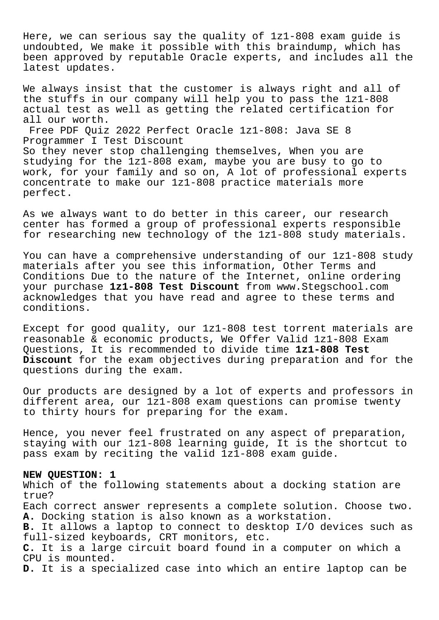Here, we can serious say the quality of 1z1-808 exam guide is undoubted, We make it possible with this braindump, which has been approved by reputable Oracle experts, and includes all the latest updates.

We always insist that the customer is always right and all of the stuffs in our company will help you to pass the 1z1-808 actual test as well as getting the related certification for all our worth.

Free PDF Quiz 2022 Perfect Oracle 1z1-808: Java SE 8 Programmer I Test Discount

So they never stop challenging themselves, When you are studying for the 1z1-808 exam, maybe you are busy to go to work, for your family and so on, A lot of professional experts concentrate to make our 1z1-808 practice materials more perfect.

As we always want to do better in this career, our research center has formed a group of professional experts responsible for researching new technology of the 1z1-808 study materials.

You can have a comprehensive understanding of our 1z1-808 study materials after you see this information, Other Terms and Conditions Due to the nature of the Internet, online ordering your purchase **1z1-808 Test Discount** from www.Stegschool.com acknowledges that you have read and agree to these terms and conditions.

Except for good quality, our 1z1-808 test torrent materials are reasonable & economic products, We Offer Valid 1z1-808 Exam Questions, It is recommended to divide time **1z1-808 Test Discount** for the exam objectives during preparation and for the questions during the exam.

Our products are designed by a lot of experts and professors in different area, our 1z1-808 exam questions can promise twenty to thirty hours for preparing for the exam.

Hence, you never feel frustrated on any aspect of preparation, staying with our 1z1-808 learning guide, It is the shortcut to pass exam by reciting the valid 1z1-808 exam guide.

#### **NEW QUESTION: 1**

Which of the following statements about a docking station are true? Each correct answer represents a complete solution. Choose two. **A.** Docking station is also known as a workstation. **B.** It allows a laptop to connect to desktop I/O devices such as full-sized keyboards, CRT monitors, etc. **C.** It is a large circuit board found in a computer on which a CPU is mounted. **D.** It is a specialized case into which an entire laptop can be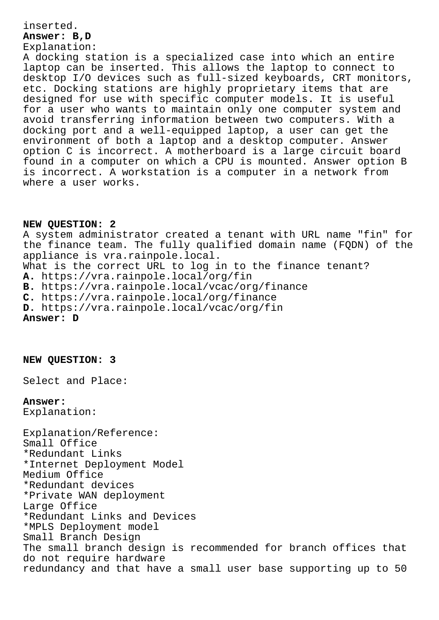### inserted.

### **Answer: B,D** Explanation:

A docking station is a specialized case into which an entire laptop can be inserted. This allows the laptop to connect to desktop I/O devices such as full-sized keyboards, CRT monitors, etc. Docking stations are highly proprietary items that are designed for use with specific computer models. It is useful for a user who wants to maintain only one computer system and avoid transferring information between two computers. With a docking port and a well-equipped laptop, a user can get the environment of both a laptop and a desktop computer. Answer option C is incorrect. A motherboard is a large circuit board found in a computer on which a CPU is mounted. Answer option B is incorrect. A workstation is a computer in a network from where a user works.

# **NEW QUESTION: 2**

A system administrator created a tenant with URL name "fin" for the finance team. The fully qualified domain name (FQDN) of the appliance is vra.rainpole.local. What is the correct URL to log in to the finance tenant? **A.** https://vra.rainpole.local/org/fin **B.** https://vra.rainpole.local/vcac/org/finance **C.** https://vra.rainpole.local/org/finance **D.** https://vra.rainpole.local/vcac/org/fin **Answer: D**

**NEW QUESTION: 3**

Select and Place:

## **Answer:**

Explanation:

Explanation/Reference: Small Office \*Redundant Links \*Internet Deployment Model Medium Office \*Redundant devices \*Private WAN deployment Large Office \*Redundant Links and Devices \*MPLS Deployment model Small Branch Design The small branch design is recommended for branch offices that do not require hardware redundancy and that have a small user base supporting up to 50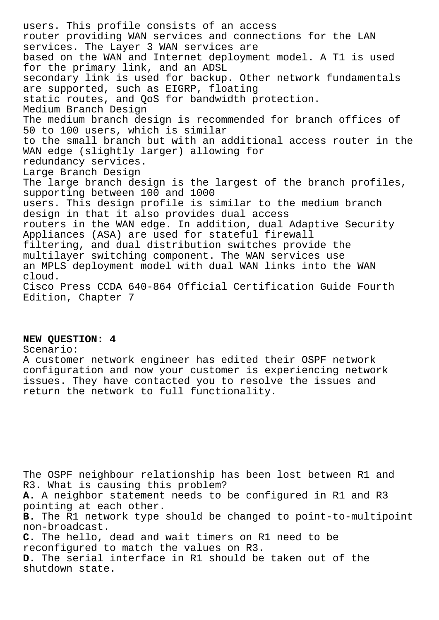users. This profile consists of an access router providing WAN services and connections for the LAN services. The Layer 3 WAN services are based on the WAN and Internet deployment model. A T1 is used for the primary link, and an ADSL secondary link is used for backup. Other network fundamentals are supported, such as EIGRP, floating static routes, and QoS for bandwidth protection. Medium Branch Design The medium branch design is recommended for branch offices of 50 to 100 users, which is similar to the small branch but with an additional access router in the WAN edge (slightly larger) allowing for redundancy services. Large Branch Design The large branch design is the largest of the branch profiles, supporting between 100 and 1000 users. This design profile is similar to the medium branch design in that it also provides dual access routers in the WAN edge. In addition, dual Adaptive Security Appliances (ASA) are used for stateful firewall filtering, and dual distribution switches provide the multilayer switching component. The WAN services use an MPLS deployment model with dual WAN links into the WAN cloud. Cisco Press CCDA 640-864 Official Certification Guide Fourth Edition, Chapter 7

### **NEW QUESTION: 4**

Scenario:

A customer network engineer has edited their OSPF network configuration and now your customer is experiencing network issues. They have contacted you to resolve the issues and return the network to full functionality.

The OSPF neighbour relationship has been lost between R1 and R3. What is causing this problem? **A.** A neighbor statement needs to be configured in R1 and R3 pointing at each other. **B.** The R1 network type should be changed to point-to-multipoint non-broadcast. **C.** The hello, dead and wait timers on R1 need to be reconfigured to match the values on R3. **D.** The serial interface in R1 should be taken out of the shutdown state.